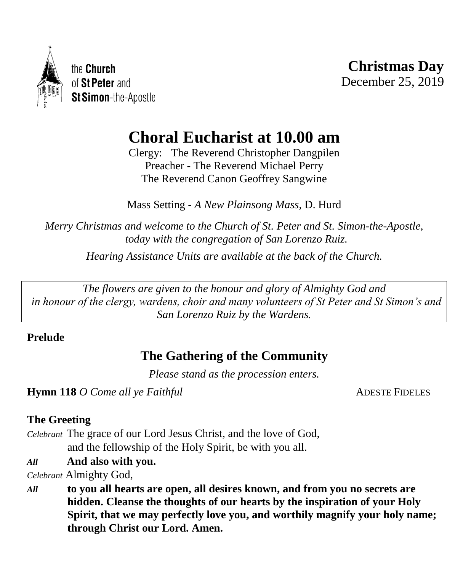

the Church of St Peter and **St Simon-the-Apostle** 

# **Choral Eucharist at 10.00 am**

Clergy: The Reverend Christopher Dangpilen Preacher - The Reverend Michael Perry The Reverend Canon Geoffrey Sangwine

Mass Setting - *A New Plainsong Mass*, D. Hurd

*Merry Christmas and welcome to the Church of St. Peter and St. Simon-the-Apostle, today with the congregation of San Lorenzo Ruiz.* 

*Hearing Assistance Units are available at the back of the Church.*

*The flowers are given to the honour and glory of Almighty God and in honour of the clergy, wardens, choir and many volunteers of St Peter and St Simon's and San Lorenzo Ruiz by the Wardens.*

# **Prelude**

# **The Gathering of the Community**

*Please stand as the procession enters.*

**Hymn 118** *O Come all ye Faithful* **ADESTE FIDELES** 

# **The Greeting**

*Celebrant* The grace of our Lord Jesus Christ, and the love of God, and the fellowship of the Holy Spirit, be with you all.

*All* **And also with you.**

*Celebrant* Almighty God,

*All* **to you all hearts are open, all desires known, and from you no secrets are hidden. Cleanse the thoughts of our hearts by the inspiration of your Holy Spirit, that we may perfectly love you, and worthily magnify your holy name; through Christ our Lord. Amen.**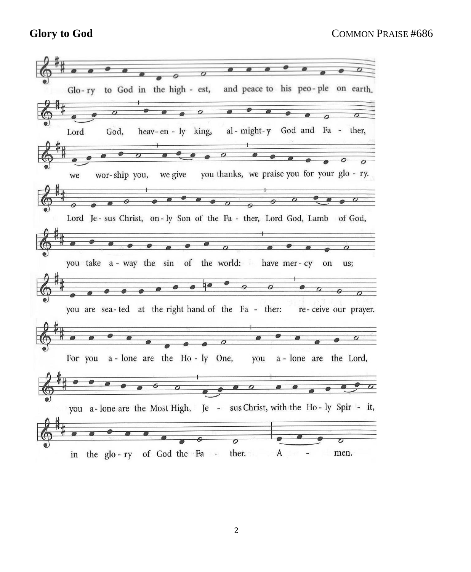$\bullet$   $\bullet$  $\bullet$  $\bullet$  $^{\circ}$   $^{\circ}$  $\bullet$  $\sigma$  $\overline{\mathfrak{o}}$ Glo-ry to God in the high - est, and peace to his peo-ple on earth.  $\bullet$  $\sigma$  $\bullet$  $\bullet$  $\sigma$  $\bullet$  $\bullet$ al-might-y God and Fa - ther, heav- en -  $ly$  king, Lord God,  $\sigma$  $\overline{\rho}$ wor-ship you, we give you thanks, we praise you for your glo - ry. we  $\bullet \bullet \bullet \bullet \bullet \bullet$  $0$  $\bullet$   $\bullet$   $\circ$  $\circ$  $\overline{\mathcal{O}}$ Lord Je-sus Christ, on-ly Son of the Fa-ther, Lord God, Lamb of God,  $\sigma$ you take a - way the sin of the world: have mer-cy on us;  $\circ$   $\circ$  $\bullet$  0  $\overline{\mathfrak{o}}$ you are sea-ted at the right hand of the Fa - ther: re-ceive our prayer.  $\circ$  $\bullet$   $\bullet$ For you a-lone are the Ho-ly One, you a-lone are the Lord,  $\overline{\ }$  $\bullet \bullet \bullet \bullet \bullet$  $\bullet$   $\circ$   $\circ$  $\sigma$  $\sigma$  $\bullet$ you a-lone are the Most High, Je - sus Christ, with the Ho-ly Spir - it,  $\bullet$  $\bullet$  $\overline{\phantom{a}}$  $\overline{o}$ in the glo-ry of God the Fa - ther. A men.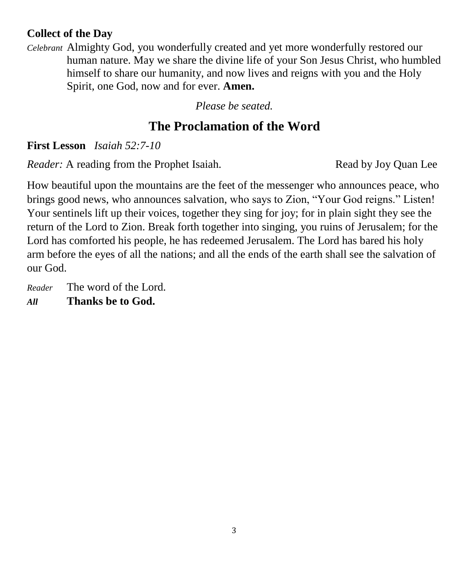# **Collect of the Day**

*Celebrant* Almighty God, you wonderfully created and yet more wonderfully restored our human nature. May we share the divine life of your Son Jesus Christ, who humbled himself to share our humanity, and now lives and reigns with you and the Holy Spirit, one God, now and for ever. **Amen.** 

*Please be seated.*

# **The Proclamation of the Word**

**First Lesson** *Isaiah 52:7-10*

*Reader:* A reading from the Prophet Isaiah. Read by Joy Quan Lee

How beautiful upon the mountains are the feet of the messenger who announces peace, who brings good news, who announces salvation, who says to Zion, "Your God reigns." Listen! Your sentinels lift up their voices, together they sing for joy; for in plain sight they see the return of the Lord to Zion. Break forth together into singing, you ruins of Jerusalem; for the Lord has comforted his people, he has redeemed Jerusalem. The Lord has bared his holy arm before the eyes of all the nations; and all the ends of the earth shall see the salvation of our God.

*Reader* The word of the Lord. *All* **Thanks be to God.**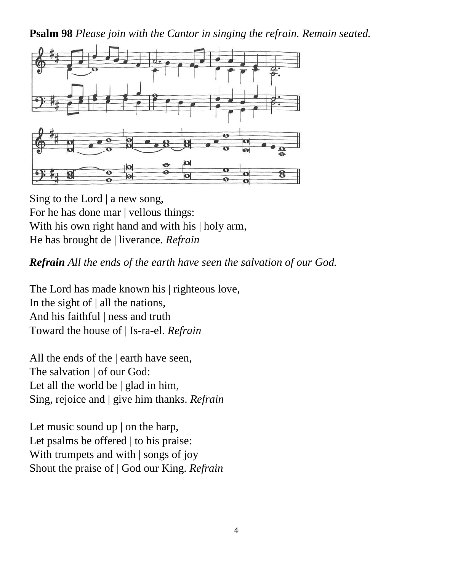**Psalm 98** *Please join with the Cantor in singing the refrain. Remain seated.*



Sing to the Lord | a new song, For he has done mar | vellous things: With his own right hand and with his | holy arm, He has brought de | liverance. *Refrain*

*Refrain All the ends of the earth have seen the salvation of our God.*

The Lord has made known his | righteous love, In the sight of  $\vert$  all the nations, And his faithful | ness and truth Toward the house of | Is-ra-el. *Refrain*

All the ends of the | earth have seen, The salvation | of our God: Let all the world be  $|$  glad in him, Sing, rejoice and | give him thanks. *Refrain*

Let music sound up  $|$  on the harp, Let psalms be offered | to his praise: With trumpets and with | songs of joy Shout the praise of | God our King. *Refrain*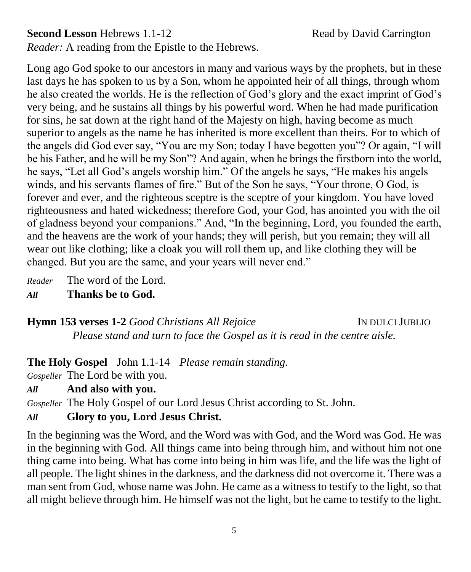# **Second Lesson** Hebrews 1.1-12 Read by David Carrington

*Reader:* A reading from the Epistle to the Hebrews.

Long ago God spoke to our ancestors in many and various ways by the prophets, but in these last days he has spoken to us by a Son, whom he appointed heir of all things, through whom he also created the worlds. He is the reflection of God's glory and the exact imprint of God's very being, and he sustains all things by his powerful word. When he had made purification for sins, he sat down at the right hand of the Majesty on high, having become as much superior to angels as the name he has inherited is more excellent than theirs. For to which of the angels did God ever say, "You are my Son; today I have begotten you"? Or again, "I will be his Father, and he will be my Son"? And again, when he brings the firstborn into the world, he says, "Let all God's angels worship him." Of the angels he says, "He makes his angels winds, and his servants flames of fire." But of the Son he says, "Your throne, O God, is forever and ever, and the righteous sceptre is the sceptre of your kingdom. You have loved righteousness and hated wickedness; therefore God, your God, has anointed you with the oil of gladness beyond your companions." And, "In the beginning, Lord, you founded the earth, and the heavens are the work of your hands; they will perish, but you remain; they will all wear out like clothing; like a cloak you will roll them up, and like clothing they will be changed. But you are the same, and your years will never end."

*Reader* The word of the Lord. *All* **Thanks be to God.**

**Hymn 153 verses 1-2** *Good Christians All Rejoice* IN DULCI JUBLIO *Please stand and turn to face the Gospel as it is read in the centre aisle.*

**The Holy Gospel** John 1.1-14*Please remain standing.*

*Gospeller* The Lord be with you.

*All* **And also with you.**

*Gospeller* The Holy Gospel of our Lord Jesus Christ according to St. John.

*All* **Glory to you, Lord Jesus Christ.**

In the beginning was the Word, and the Word was with God, and the Word was God. He was in the beginning with God. All things came into being through him, and without him not one thing came into being. What has come into being in him was life, and the life was the light of all people. The light shines in the darkness, and the darkness did not overcome it. There was a man sent from God, whose name was John. He came as a witness to testify to the light, so that all might believe through him. He himself was not the light, but he came to testify to the light.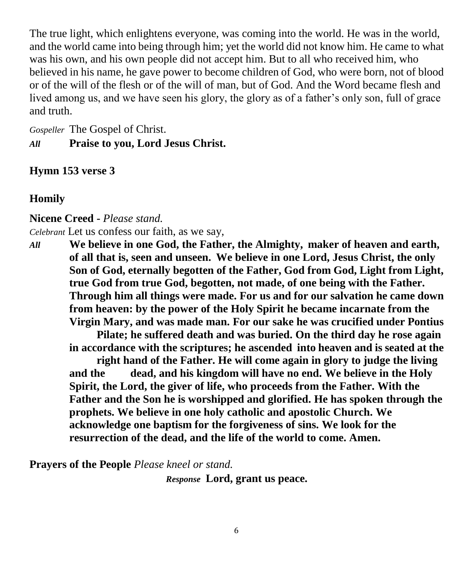The true light, which enlightens everyone, was coming into the world. He was in the world, and the world came into being through him; yet the world did not know him. He came to what was his own, and his own people did not accept him. But to all who received him, who believed in his name, he gave power to become children of God, who were born, not of blood or of the will of the flesh or of the will of man, but of God. And the Word became flesh and lived among us, and we have seen his glory, the glory as of a father's only son, full of grace and truth.

*Gospeller* The Gospel of Christ. *All* **Praise to you, Lord Jesus Christ.**

# **Hymn 153 verse 3**

# **Homily**

#### **Nicene Creed -** *Please stand.*

*Celebrant* Let us confess our faith, as we say,

*All* **We believe in one God, the Father, the Almighty, maker of heaven and earth, of all that is, seen and unseen. We believe in one Lord, Jesus Christ, the only Son of God, eternally begotten of the Father, God from God, Light from Light, true God from true God, begotten, not made, of one being with the Father. Through him all things were made. For us and for our salvation he came down from heaven: by the power of the Holy Spirit he became incarnate from the Virgin Mary, and was made man. For our sake he was crucified under Pontius** 

**Pilate; he suffered death and was buried. On the third day he rose again in accordance with the scriptures; he ascended into heaven and is seated at the right hand of the Father. He will come again in glory to judge the living and the dead, and his kingdom will have no end. We believe in the Holy Spirit, the Lord, the giver of life, who proceeds from the Father. With the Father and the Son he is worshipped and glorified. He has spoken through the prophets. We believe in one holy catholic and apostolic Church. We acknowledge one baptism for the forgiveness of sins. We look for the resurrection of the dead, and the life of the world to come. Amen.**

**Prayers of the People** *Please kneel or stand.*

*Response* **Lord, grant us peace.**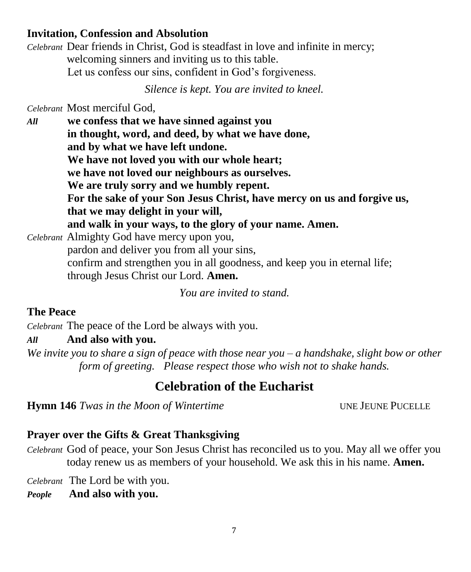# **Invitation, Confession and Absolution**

*Celebrant* Dear friends in Christ, God is steadfast in love and infinite in mercy; welcoming sinners and inviting us to this table. Let us confess our sins, confident in God's forgiveness.

*Silence is kept. You are invited to kneel.*

*Celebrant* Most merciful God,

*All* **we confess that we have sinned against you in thought, word, and deed, by what we have done, and by what we have left undone. We have not loved you with our whole heart; we have not loved our neighbours as ourselves. We are truly sorry and we humbly repent. For the sake of your Son Jesus Christ, have mercy on us and forgive us, that we may delight in your will, and walk in your ways, to the glory of your name. Amen.** *Celebrant* Almighty God have mercy upon you, pardon and deliver you from all your sins,

confirm and strengthen you in all goodness, and keep you in eternal life; through Jesus Christ our Lord. **Amen.**

*You are invited to stand.*

#### **The Peace**

*Celebrant* The peace of the Lord be always with you.

*All* **And also with you.**

*We invite you to share a sign of peace with those near you – a handshake, slight bow or other form of greeting. Please respect those who wish not to shake hands.*

# **Celebration of the Eucharist**

**Hymn 146** *Twas in the Moon of Wintertime* UNE JEUNE PUCELLE

#### **Prayer over the Gifts & Great Thanksgiving**

*Celebrant* God of peace, your Son Jesus Christ has reconciled us to you. May all we offer you today renew us as members of your household. We ask this in his name. **Amen.**

*Celebrant* The Lord be with you.

*People* **And also with you.**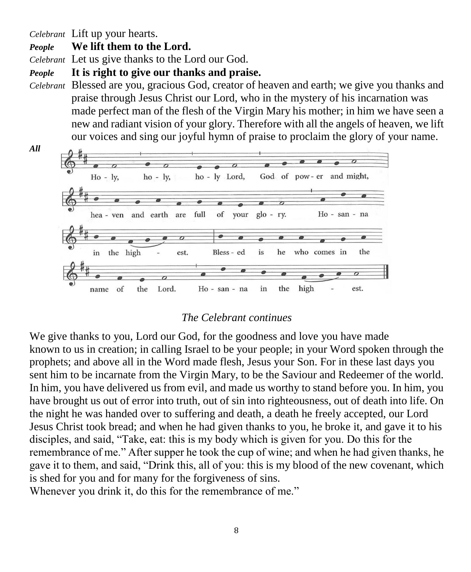*Celebrant* Lift up your hearts.

*People* **We lift them to the Lord.**

*Celebrant* Let us give thanks to the Lord our God.

*People* **It is right to give our thanks and praise.**

*Celebrant* Blessed are you, gracious God, creator of heaven and earth; we give you thanks and praise through Jesus Christ our Lord, who in the mystery of his incarnation was made perfect man of the flesh of the Virgin Mary his mother; in him we have seen a new and radiant vision of your glory. Therefore with all the angels of heaven, we lift our voices and sing our joyful hymn of praise to proclaim the glory of your name.



# *The Celebrant continues*

We give thanks to you, Lord our God, for the goodness and love you have made known to us in creation; in calling Israel to be your people; in your Word spoken through the prophets; and above all in the Word made flesh, Jesus your Son. For in these last days you sent him to be incarnate from the Virgin Mary, to be the Saviour and Redeemer of the world. In him, you have delivered us from evil, and made us worthy to stand before you. In him, you have brought us out of error into truth, out of sin into righteousness, out of death into life. On the night he was handed over to suffering and death, a death he freely accepted, our Lord Jesus Christ took bread; and when he had given thanks to you, he broke it, and gave it to his disciples, and said, "Take, eat: this is my body which is given for you. Do this for the remembrance of me." After supper he took the cup of wine; and when he had given thanks, he gave it to them, and said, "Drink this, all of you: this is my blood of the new covenant, which is shed for you and for many for the forgiveness of sins.

Whenever you drink it, do this for the remembrance of me."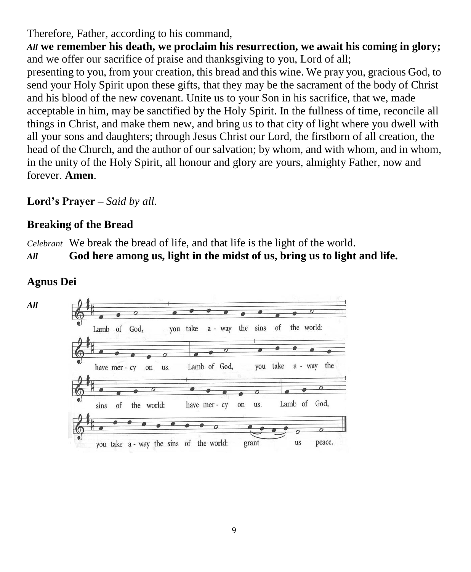Therefore, Father, according to his command,

*All* **we remember his death, we proclaim his resurrection, we await his coming in glory;** and we offer our sacrifice of praise and thanksgiving to you, Lord of all;

presenting to you, from your creation, this bread and this wine. We pray you, gracious God, to send your Holy Spirit upon these gifts, that they may be the sacrament of the body of Christ and his blood of the new covenant. Unite us to your Son in his sacrifice, that we, made acceptable in him, may be sanctified by the Holy Spirit. In the fullness of time, reconcile all things in Christ, and make them new, and bring us to that city of light where you dwell with all your sons and daughters; through Jesus Christ our Lord, the firstborn of all creation, the head of the Church, and the author of our salvation; by whom, and with whom, and in whom, in the unity of the Holy Spirit, all honour and glory are yours, almighty Father, now and forever. **Amen**.

# **Lord's Prayer –** *Said by all.*

# **Breaking of the Bread**

*Celebrant* We break the bread of life, and that life is the light of the world.

*All* **God here among us, light in the midst of us, bring us to light and life.**

# **Agnus Dei**

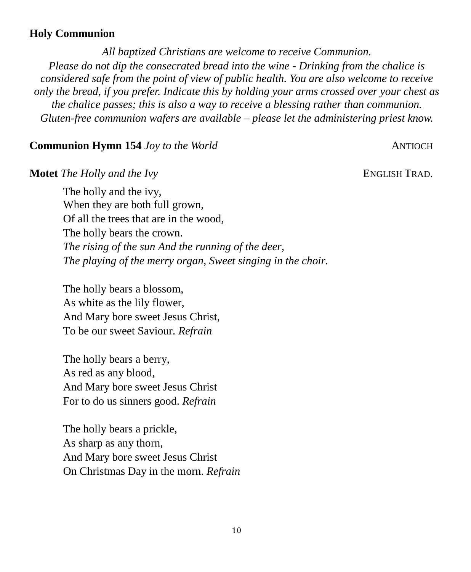### **Holy Communion**

*All baptized Christians are welcome to receive Communion. Please do not dip the consecrated bread into the wine - Drinking from the chalice is considered safe from the point of view of public health. You are also welcome to receive only the bread, if you prefer. Indicate this by holding your arms crossed over your chest as the chalice passes; this is also a way to receive a blessing rather than communion. Gluten-free communion wafers are available – please let the administering priest know.*

#### **Communion Hymn 154** *Joy to the World* **ANTIOCH**

# **Motet** *The Holly and the Ivy* ENGLISH TRAD.

The holly and the ivy, When they are both full grown, Of all the trees that are in the wood, The holly bears the crown. *The rising of the sun And the running of the deer, The playing of the merry organ, Sweet singing in the choir.*

The holly bears a blossom, As white as the lily flower, And Mary bore sweet Jesus Christ, To be our sweet Saviour. *Refrain*

The holly bears a berry, As red as any blood, And Mary bore sweet Jesus Christ For to do us sinners good. *Refrain*

The holly bears a prickle, As sharp as any thorn, And Mary bore sweet Jesus Christ On Christmas Day in the morn. *Refrain*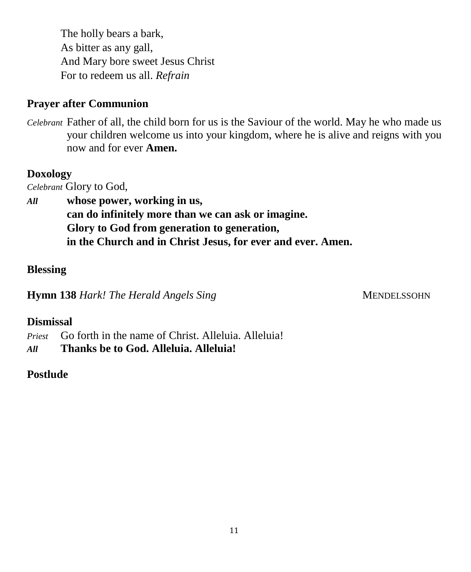The holly bears a bark, As bitter as any gall, And Mary bore sweet Jesus Christ For to redeem us all. *Refrain*

# **Prayer after Communion**

*Celebrant* Father of all, the child born for us is the Saviour of the world. May he who made us your children welcome us into your kingdom, where he is alive and reigns with you now and for ever **Amen.**

# **Doxology**

*Celebrant* Glory to God,

*All* **whose power, working in us, can do infinitely more than we can ask or imagine. Glory to God from generation to generation, in the Church and in Christ Jesus, for ever and ever. Amen.**

# **Blessing**

**Hymn 138** *Hark! The Herald Angels Sing* **MENDELSSOHN** 

# **Dismissal**

*Priest* Go forth in the name of Christ. Alleluia. Alleluia!

*All* **Thanks be to God. Alleluia. Alleluia!**

# **Postlude**